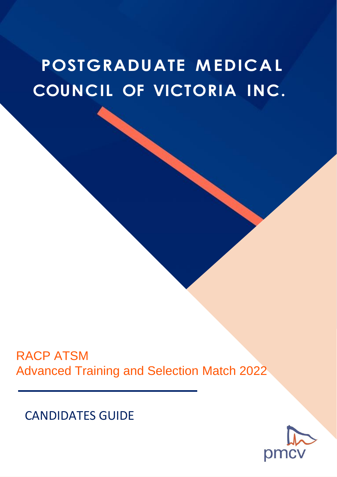# **POSTGRADUATE MEDICAL COUNCIL OF VICTORIA INC.**

RACP ATSM Advanced Training and Selection Match 2022

CANDIDATES GUIDE

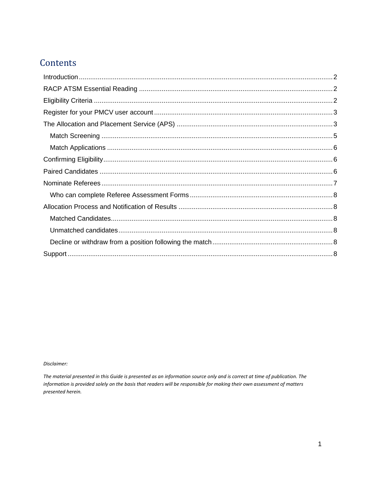# Contents

Disclaimer:

The material presented in this Guide is presented as an information source only and is correct at time of publication. The information is provided solely on the basis that readers will be responsible for making their own assessment of matters presented herein.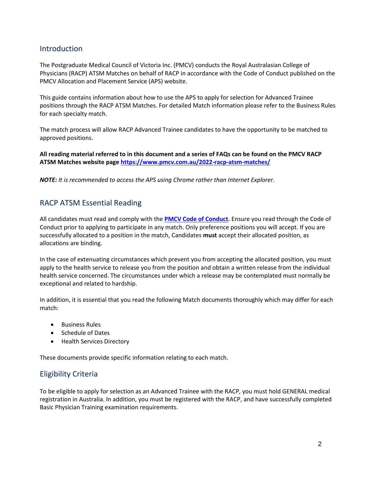## <span id="page-2-0"></span>Introduction

The Postgraduate Medical Council of Victoria Inc. (PMCV) conducts the Royal Australasian College of Physicians (RACP) ATSM Matches on behalf of RACP in accordance with the [Code of Conduct](https://app.pmcv.com.au/aps/content/code-of-conduct) published on the [PMCV Allocation and Placement Service \(APS\) website.](https://www.pmcv.com.au/)

This guide contains information about how to use the APS to apply for selection for Advanced Trainee positions through the RACP ATSM Matches. For detailed Match information please refer to the Business Rules for each specialty match.

The match process will allow RACP Advanced Trainee candidates to have the opportunity to be matched to approved positions.

**All reading material referred to in this document and a series of FAQs can be found on the PMCV RACP ATSM Matches website page<https://www.pmcv.com.au/2022-racp-atsm-matches/>**

*NOTE: It is recommended to access the APS using Chrome rather than Internet Explorer.*

## <span id="page-2-1"></span>RACP ATSM Essential Reading

All candidates must read and comply with the **[PMCV Code of Conduct.](https://app.pmcv.com.au/aps/content/code-of-conduct)** Ensure you read through the Code of Conduct prior to applying to participate in any match. Only preference positions you will accept. If you are successfully allocated to a position in the match, Candidates **must** accept their allocated position, as allocations are binding.

In the case of extenuating circumstances which prevent you from accepting the allocated position, you must apply to the health service to release you from the position and obtain a written release from the individual health service concerned. The circumstances under which a release may be contemplated must normally be exceptional and related to hardship.

In addition, it is essential that you read the following Match documents thoroughly which may differ for each match:

- Business Rules
- Schedule of Dates
- Health Services Directory

These documents provide specific information relating to each match.

# <span id="page-2-2"></span>Eligibility Criteria

To be eligible to apply for selection as an Advanced Trainee with the RACP, you must hold GENERAL medical registration in Australia. In addition, you must be registered with the RACP, and have successfully completed Basic Physician Training examination requirements.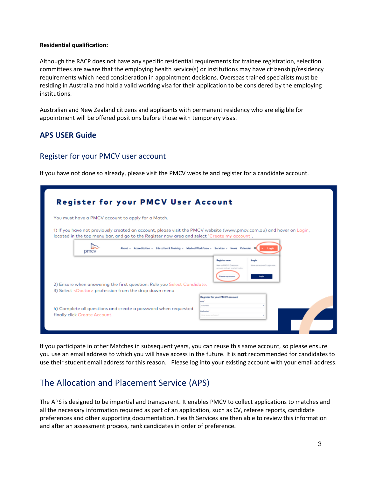#### **Residential qualification:**

Although the RACP does not have any specific residential requirements for trainee registration, selection committees are aware that the employing health service(s) or institutions may have citizenship/residency requirements which need consideration in appointment decisions. Overseas trained specialists must be residing in Australia and hold a valid working visa for their application to be considered by the employing institutions.

Australian and New Zealand citizens and applicants with permanent residency who are eligible for appointment will be offered positions before those with temporary visas.

## **APS USER Guide**

#### <span id="page-3-0"></span>Register for your PMCV user account

If you have not done so already, please visit the [PMCV website a](https://app.pmcv.com.au/register)nd register for a candidate account.

|                                                                                                                                                                                                                       |                                         | <b>Register for your PMCV User Account</b>             |                                      |  |
|-----------------------------------------------------------------------------------------------------------------------------------------------------------------------------------------------------------------------|-----------------------------------------|--------------------------------------------------------|--------------------------------------|--|
| You must have a PMCV account to apply for a Match.                                                                                                                                                                    |                                         |                                                        |                                      |  |
| 1) If you have not previously created an account, please visit the PMCV website (www.pmcv.com.au) and hover on Login,<br>located in the top menu bar, and go to the Register now area and select 'Create my account'. |                                         |                                                        |                                      |  |
| About $\sim$ Accreditation $\sim$ Education & Training $\sim$<br><b>DMC</b>                                                                                                                                           |                                         | Medical Workforce - Services - News Calendar Q         | Login                                |  |
|                                                                                                                                                                                                                       |                                         | <b>Register now</b><br>New to PMCV? Create on          | Login<br>Hove on account? Login now. |  |
|                                                                                                                                                                                                                       |                                         | widwit batteria hap hous trauteur<br>Create my account |                                      |  |
| 2) Ensure when answering the first question: Role you Select Candidate.                                                                                                                                               |                                         |                                                        |                                      |  |
| 3) Select <doctor> profession from the drop down menu</doctor>                                                                                                                                                        |                                         |                                                        |                                      |  |
|                                                                                                                                                                                                                       | man.<br>Condidate                       | Register for your PMCV occount                         |                                      |  |
| 4) Complete all questions and create a password when requested<br>finally click Create Account.                                                                                                                       | Profession<br>threat is soon profession |                                                        |                                      |  |

If you participate in other Matches in subsequent years, you can reuse this same account, so please ensure you use an email address to which you will have access in the future. It is **not** recommended for candidates to use their student email address for this reason. Please log into your existing account with your email address.

# <span id="page-3-1"></span>The Allocation and Placement Service (APS)

The APS is designed to be impartial and transparent. It enables PMCV to collect applications to matches and all the necessary information required as part of an application, such as CV, referee reports, candidate preferences and other supporting documentation. Health Services are then able to review this information and after an assessment process, rank candidates in order of preference.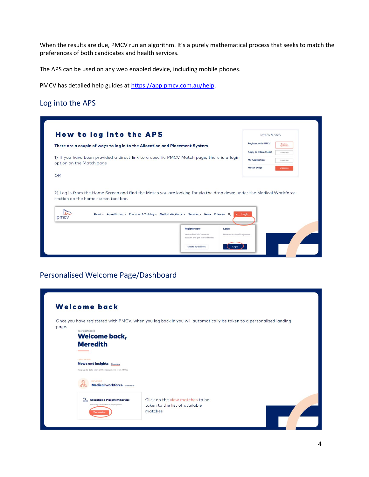When the results are due, PMCV run an algorithm. It's a purely mathematical process that seeks to match the preferences of both candidates and health services.

The APS can be used on any web enabled device, including mobile phones.

PMCV has detailed help guides a[t https://app.pmcv.com.au/help.](https://app.pmcv.com.au/help)

## Log into the APS

|                                                                                                                        | How to log into the APS                                                                                             |                                                          |                             | Intern Match                 |                          |
|------------------------------------------------------------------------------------------------------------------------|---------------------------------------------------------------------------------------------------------------------|----------------------------------------------------------|-----------------------------|------------------------------|--------------------------|
|                                                                                                                        | There are a couple of ways to log in to the Allocation and Placement System                                         |                                                          |                             | <b>Register with PMCV</b>    | One time<br>regletration |
|                                                                                                                        |                                                                                                                     |                                                          |                             | <b>Apply to Intern Match</b> | Femm 9 May               |
| 1) If you have been provided a direct link to a specific PMCV Match page, there is a login<br>option on the Match page |                                                                                                                     |                                                          |                             | <b>My Application</b>        | Fram 9 May               |
|                                                                                                                        |                                                                                                                     |                                                          | <b>Match Stage</b>          |                              | UPCOMING                 |
|                                                                                                                        |                                                                                                                     |                                                          |                             |                              |                          |
|                                                                                                                        | 2) Log in from the Home Screen and find the Match you are looking for via the drop down under the Medical Workforce |                                                          |                             |                              |                          |
| pmcy                                                                                                                   | About v Accreditation v Education & Training v Medical Workforce v Services v News Calendar Q                       |                                                          | $\vee$ Innin                |                              |                          |
| OR<br>section on the home screen tool bar.                                                                             |                                                                                                                     | <b>Register now</b>                                      | Login                       |                              |                          |
|                                                                                                                        |                                                                                                                     | New to PMCV? Create on<br>account and get started today. | Have an account? Login now. |                              |                          |

# Personalised Welcome Page/Dashboard

|       | Welcome back                                                                            |                                                                                                                    |
|-------|-----------------------------------------------------------------------------------------|--------------------------------------------------------------------------------------------------------------------|
|       |                                                                                         | Once you have registered with PMCV, when you log back in you will automatically be taken to a personalised landing |
| page. | Your dashboard                                                                          |                                                                                                                    |
|       | <b>Welcome back,</b>                                                                    |                                                                                                                    |
|       | <b>Meredith</b>                                                                         |                                                                                                                    |
|       |                                                                                         |                                                                                                                    |
|       | <b>LATEST UPDATES</b>                                                                   |                                                                                                                    |
|       | <b>News and Insights</b> See more<br>Keep up to date with all the latest news from PMCV |                                                                                                                    |
|       |                                                                                         |                                                                                                                    |
|       | EMPLOYMENT<br><b>Medical workforce</b> See more                                         |                                                                                                                    |
|       |                                                                                         |                                                                                                                    |
|       | Allocation & Placement Service                                                          | Click on the view matches to be                                                                                    |
|       | Matching condidates to employment                                                       | taken to the list of available                                                                                     |
|       | <b>View matches</b>                                                                     | matches                                                                                                            |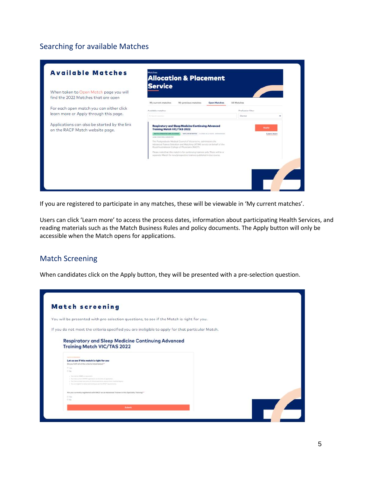# Searching for available Matches



If you are registered to participate in any matches, these will be viewable in 'My current matches'.

Users can click 'Learn more' to access the process dates, information about participating Health Services, and reading materials such as the Match Business Rules and policy documents. The Apply button will only be accessible when the Match opens for applications.

#### <span id="page-5-0"></span>Match Screening

When candidates click on the Apply button, they will be presented with a pre-selection question.

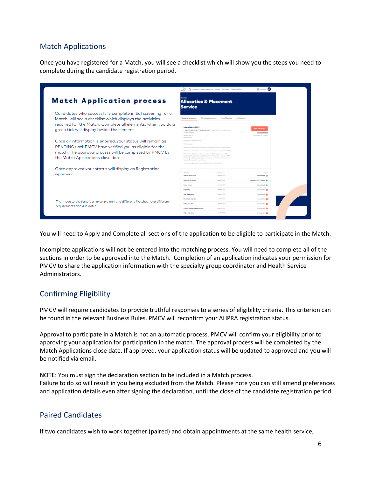# <span id="page-6-0"></span>Match Applications

Once you have registered for a Match, you will see a checklist which will show you the steps you need to complete during the candidate registration period.

|                                                                                                                                                                                                                                          | alin                                                                                                                                                                                                                                                                                                                                                                                                                                                                                                                             | 7. Alicadas & Pleasmed Service Method Howltwerks Medical Worldway      | $\mathbf{E}$ at lattice.                                             |
|------------------------------------------------------------------------------------------------------------------------------------------------------------------------------------------------------------------------------------------|----------------------------------------------------------------------------------------------------------------------------------------------------------------------------------------------------------------------------------------------------------------------------------------------------------------------------------------------------------------------------------------------------------------------------------------------------------------------------------------------------------------------------------|------------------------------------------------------------------------|----------------------------------------------------------------------|
| <b>Match Application process</b>                                                                                                                                                                                                         | <b>Allocation &amp; Placement</b><br><b>Service</b>                                                                                                                                                                                                                                                                                                                                                                                                                                                                              |                                                                        |                                                                      |
| Candidates who successfully complete initial screening for a<br>Match, will see a checklist which displays the activities<br>required for the Match. Complete all elements, when you do a<br>green tick will display beside the element. | My current matches<br>My previous matches<br>Intern Match 2022<br>OWNERSTWITER EXCHIPANTER CONTINUES SURFACE AND<br><b>Christinia</b> Antibodie Pre-<br>Matahogan for:<br>Registeration.                                                                                                                                                                                                                                                                                                                                         | Open-Motches<br>All Matches                                            | View my details<br><b>Process timeline</b><br>Conclutory (C) 150ml/2 |
| Once all information is entered, your status will remain as<br>PENDING until PMCV have verified you as eligible for the<br>match. The approval process will be completed by PMCV by<br>the Match Applications close date.                | Integrates Sternategy Productions and<br>CV completion<br>Nomination of referent and referee completion of referee report forms.<br>Submission of stighting criteria and supporting discurrentation to PMCY<br>Please note: Supporting decumentation is CIVLF required from NZ<br>graduated that do not have a Medial Intern Placement Number, VEPA<br>Prizetty Cross 2 consistatus from Interstate universities, or Interstate<br>Special Consideration centidates<br>Candidate registration closes at Spre AESR on 9 June 2022 |                                                                        |                                                                      |
| Once approved your status will display as Registration<br>Approved.                                                                                                                                                                      | <b>PROTECTIVE</b><br><b>Bushels shocker without</b><br>Register for motch<br><b>Boday details</b>                                                                                                                                                                                                                                                                                                                                                                                                                                | <b>STATISTICS</b><br>June 195, 2002<br>June 16, 2022<br>June 14th 2022 | partes.<br>Completed IR<br>Condidota (D: 11868) G<br>Completed IP    |
| The image to the right is an example only and different Matches have different                                                                                                                                                           | Eighilty<br>Add proferences<br><b>Norwington role rees</b>                                                                                                                                                                                                                                                                                                                                                                                                                                                                       | June 74h 2022<br>June Pels 2022<br>June 74h 2022                       | <b>Incomplete @</b><br><b>Incomplete</b> O<br><b>Incorporate</b>     |
| requirements and due dates.                                                                                                                                                                                                              | <b>Britar your CV</b><br>Uplead supporting decorants                                                                                                                                                                                                                                                                                                                                                                                                                                                                             | June 14h 2022<br>June 70-2002                                          | <b>Incomplete</b> O<br>Immergizie O                                  |
|                                                                                                                                                                                                                                          | Video Interview                                                                                                                                                                                                                                                                                                                                                                                                                                                                                                                  | June 12th 2021                                                         | <b>Incorpora</b>                                                     |

You will need to Apply and Complete all sections of the application to be eligible to participate in the Match.

Incomplete applications will not be entered into the matching process. You will need to complete all of the sections in order to be approved into the Match. Completion of an application indicates your permission for PMCV to share the application information with the specialty group coordinator and Health Service Administrators.

# <span id="page-6-1"></span>Confirming Eligibility

PMCV will require candidates to provide truthful responses to a series of eligibility criteria. This criterion can be found in the relevant Business Rules. PMCV will reconfirm your AHPRA registration status.

Approval to participate in a Match is not an automatic process. PMCV will confirm your eligibility prior to approving your application for participation in the match. The approval process will be completed by the Match Applications close date. If approved, your application status will be updated to approved and you will be notified via email.

NOTE: You must sign the declaration section to be included in a Match process. Failure to do so will result in you being excluded from the Match. Please note you can still amend preferences and application details even after signing the declaration, until the close of the candidate registration period.

# <span id="page-6-2"></span>Paired Candidates

If two candidates wish to work together (paired) and obtain appointments at the same health service,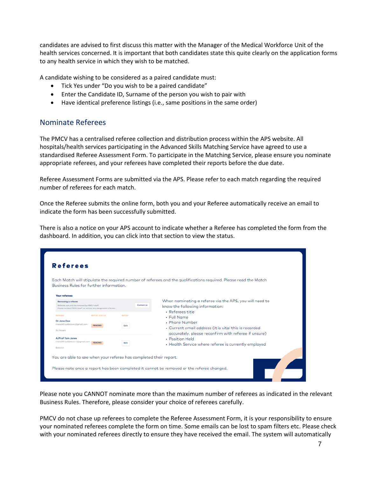candidates are advised to first discuss this matter with the Manager of the Medical Workforce Unit of the health services concerned. It is important that both candidates state this quite clearly on the application forms to any health service in which they wish to be matched.

A candidate wishing to be considered as a paired candidate must:

- Tick Yes under "Do you wish to be a paired candidate"
- Enter the Candidate ID, Surname of the person you wish to pair with
- Have identical preference listings (i.e., same positions in the same order)

#### <span id="page-7-0"></span>Nominate Referees

The PMCV has a centralised referee collection and distribution process within the APS website. All hospitals/health services participating in the Advanced Skills Matching Service have agreed to use a standardised Referee Assessment Form. To participate in the Matching Service, please ensure you nominate appropriate referees, and your referees have completed their reports before the due date.

Referee Assessment Forms are submitted via the APS. Please refer to each match regarding the required number of referees for each match.

Once the Referee submits the online form, both you and your Referee automatically receive an email to indicate the form has been successfully submitted.

There is also a notice on your APS account to indicate whether a Referee has completed the form from the dashboard. In addition, you can click into that section to view the status.

| <b>Business Rules for further information.</b>                                                                                    |                                       |                              |                   | Each Match will stipulate the required number of referees and the qualifications required. Please read the Match                               |
|-----------------------------------------------------------------------------------------------------------------------------------|---------------------------------------|------------------------------|-------------------|------------------------------------------------------------------------------------------------------------------------------------------------|
| <b>Your referees</b>                                                                                                              |                                       |                              |                   |                                                                                                                                                |
| Removing a referee<br>Referees con only be removed by PMCY stoff.<br>Please contast PMCY stuff to remove any designated referees. |                                       |                              | <b>Contast us</b> | When nominating a referee via the APS, you will need to<br>know the following information:<br>· Referees title                                 |
| <b>PERMIT</b><br>Dr Jane Doe<br>meredith.soldatoxic@gmail.com<br>5t Vincent                                                       | <b>WARRING WITH FLIGHT</b><br>PENDING | <b><i>ESPORT</i></b><br>Edit |                   | • Full Name<br>. Phone Number<br>• Current email address (it is vital this is recorded<br>accurately, please reconfirm with referee if unsure) |
| <b>A/Prof Tom Jones</b><br>meredith.soldatpsic+1@gmail.com                                                                        | PENDING                               | 848                          |                   | • Position Held<br>• Health Service where referee is currently employed                                                                        |
| Gollanzt                                                                                                                          |                                       |                              |                   |                                                                                                                                                |

Please note you CANNOT nominate more than the maximum number of referees as indicated in the relevant Business Rules. Therefore, please consider your choice of referees carefully.

PMCV do not chase up referees to complete the Referee Assessment Form, it is your responsibility to ensure your nominated referees complete the form on time. Some emails can be lost to spam filters etc. Please check with your nominated referees directly to ensure they have received the email. The system will automatically